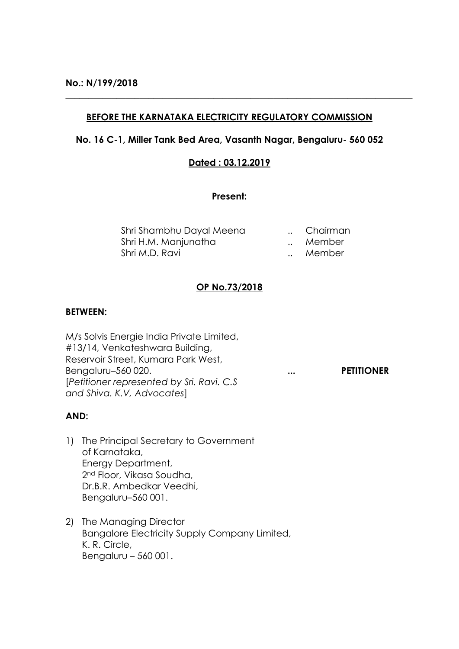## **BEFORE THE KARNATAKA ELECTRICITY REGULATORY COMMISSION**

**\_\_\_\_\_\_\_\_\_\_\_\_\_\_\_\_\_\_\_\_\_\_\_\_\_\_\_\_\_\_\_\_\_\_\_\_\_\_\_\_\_\_\_\_\_\_\_\_\_\_\_\_\_\_\_\_\_\_\_\_\_\_\_\_\_\_\_\_\_\_\_\_\_\_\_**

## **No. 16 C-1, Miller Tank Bed Area, Vasanth Nagar, Bengaluru- 560 052**

## **Dated : 03.12.2019**

## **Present:**

| Shri Shambhu Dayal Meena |              | Chairman |
|--------------------------|--------------|----------|
| Shri H.M. Manjunatha     |              | Member   |
| Shri M.D. Ravi           | $\mathbf{A}$ | Member   |

## **OP No.73/2018**

## **BETWEEN:**

M/s Solvis Energie India Private Limited, #13/14, Venkateshwara Building, Reservoir Street, Kumara Park West, Bengaluru–560 020. **... PETITIONER** [*Petitioner represented by Sri. Ravi. C.S and Shiva. K.V, Advocates*]

## **AND:**

- 1) The Principal Secretary to Government of Karnataka, Energy Department, 2nd Floor, Vikasa Soudha, Dr.B.R. Ambedkar Veedhi, Bengaluru–560 001.
- 2) The Managing Director Bangalore Electricity Supply Company Limited, K. R. Circle, Bengaluru – 560 001.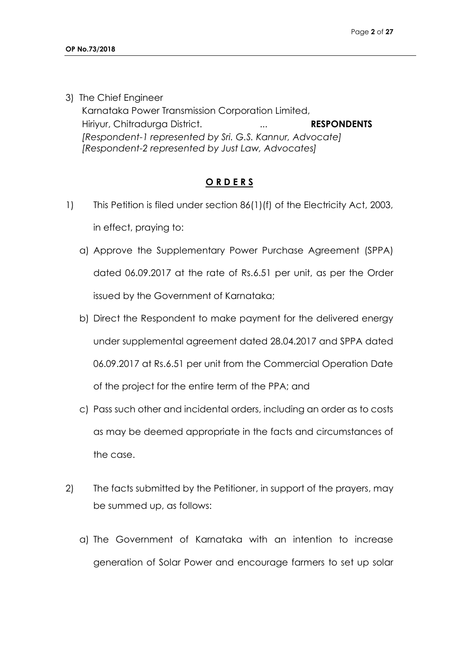3) The Chief Engineer

Karnataka Power Transmission Corporation Limited, Hiriyur, Chitradurga District. **... ... RESPONDENTS** *[Respondent-1 represented by Sri. G.S. Kannur, Advocate] [Respondent-2 represented by Just Law, Advocates]*

# **O R D E R S**

- 1) This Petition is filed under section 86(1)(f) of the Electricity Act, 2003, in effect, praying to:
	- a) Approve the Supplementary Power Purchase Agreement (SPPA) dated 06.09.2017 at the rate of Rs.6.51 per unit, as per the Order issued by the Government of Karnataka;
	- b) Direct the Respondent to make payment for the delivered energy under supplemental agreement dated 28.04.2017 and SPPA dated 06.09.2017 at Rs.6.51 per unit from the Commercial Operation Date of the project for the entire term of the PPA; and
	- c) Pass such other and incidental orders, including an order as to costs as may be deemed appropriate in the facts and circumstances of the case.
- 2) The facts submitted by the Petitioner, in support of the prayers, may be summed up, as follows:
	- a) The Government of Karnataka with an intention to increase generation of Solar Power and encourage farmers to set up solar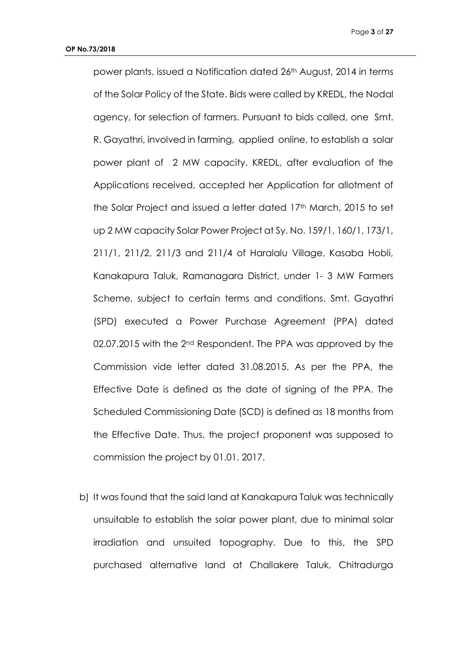power plants, issued a Notification dated 26th August, 2014 in terms of the Solar Policy of the State. Bids were called by KREDL, the Nodal agency, for selection of farmers. Pursuant to bids called, one Smt. R. Gayathri, involved in farming, applied online, to establish a solar power plant of 2 MW capacity. KREDL, after evaluation of the Applications received, accepted her Application for allotment of the Solar Project and issued a letter dated 17th March, 2015 to set up 2 MW capacity Solar Power Project at Sy. No. 159/1, 160/1, 173/1, 211/1, 211/2, 211/3 and 211/4 of Haralalu Village, Kasaba Hobli, Kanakapura Taluk, Ramanagara District, under 1- 3 MW Farmers Scheme, subject to certain terms and conditions. Smt. Gayathri (SPD) executed a Power Purchase Agreement (PPA) dated 02.07.2015 with the 2<sup>nd</sup> Respondent. The PPA was approved by the Commission vide letter dated 31.08.2015. As per the PPA, the Effective Date is defined as the date of signing of the PPA. The Scheduled Commissioning Date (SCD) is defined as 18 months from the Effective Date. Thus, the project proponent was supposed to commission the project by 01.01. 2017.

b) It was found that the said land at Kanakapura Taluk was technically unsuitable to establish the solar power plant, due to minimal solar irradiation and unsuited topography. Due to this, the SPD purchased alternative land at Challakere Taluk, Chitradurga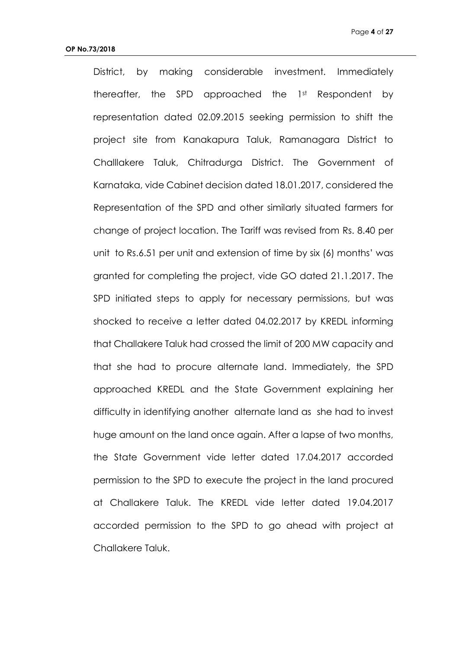District, by making considerable investment. Immediately thereafter, the SPD approached the 1st Respondent by representation dated 02.09.2015 seeking permission to shift the project site from Kanakapura Taluk, Ramanagara District to Challlakere Taluk, Chitradurga District. The Government of Karnataka, vide Cabinet decision dated 18.01.2017, considered the Representation of the SPD and other similarly situated farmers for change of project location. The Tariff was revised from Rs. 8.40 per unit to Rs.6.51 per unit and extension of time by six (6) months' was granted for completing the project, vide GO dated 21.1.2017. The SPD initiated steps to apply for necessary permissions, but was shocked to receive a letter dated 04.02.2017 by KREDL informing that Challakere Taluk had crossed the limit of 200 MW capacity and that she had to procure alternate land. Immediately, the SPD approached KREDL and the State Government explaining her difficulty in identifying another alternate land as she had to invest huge amount on the land once again. After a lapse of two months, the State Government vide letter dated 17.04.2017 accorded permission to the SPD to execute the project in the land procured at Challakere Taluk. The KREDL vide letter dated 19.04.2017 accorded permission to the SPD to go ahead with project at Challakere Taluk.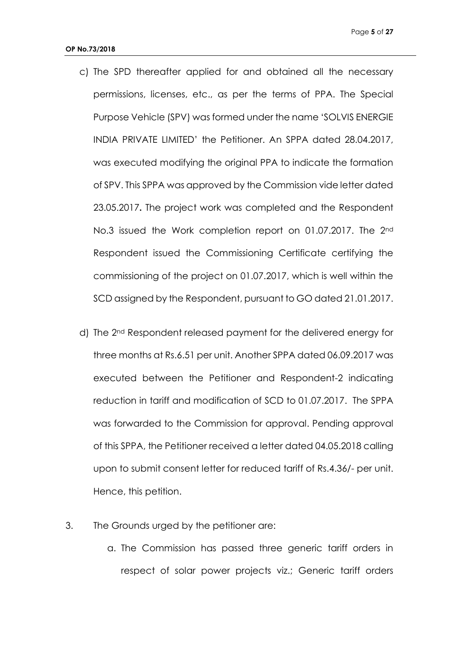- c) The SPD thereafter applied for and obtained all the necessary permissions, licenses, etc., as per the terms of PPA. The Special Purpose Vehicle (SPV) was formed under the name 'SOLVIS ENERGIE INDIA PRIVATE LIMITED' the Petitioner. An SPPA dated 28.04.2017, was executed modifying the original PPA to indicate the formation of SPV. This SPPA was approved by the Commission vide letter dated 23.05.2017**.** The project work was completed and the Respondent No.3 issued the Work completion report on 01.07.2017. The 2<sup>nd</sup> Respondent issued the Commissioning Certificate certifying the commissioning of the project on 01.07.2017, which is well within the SCD assigned by the Respondent, pursuant to GO dated 21.01.2017.
- d) The 2nd Respondent released payment for the delivered energy for three months at Rs.6.51 per unit. Another SPPA dated 06.09.2017 was executed between the Petitioner and Respondent-2 indicating reduction in tariff and modification of SCD to 01.07.2017. The SPPA was forwarded to the Commission for approval. Pending approval of this SPPA, the Petitioner received a letter dated 04.05.2018 calling upon to submit consent letter for reduced tariff of Rs.4.36/- per unit. Hence, this petition.
- 3. The Grounds urged by the petitioner are:
	- a. The Commission has passed three generic tariff orders in respect of solar power projects viz.; Generic tariff orders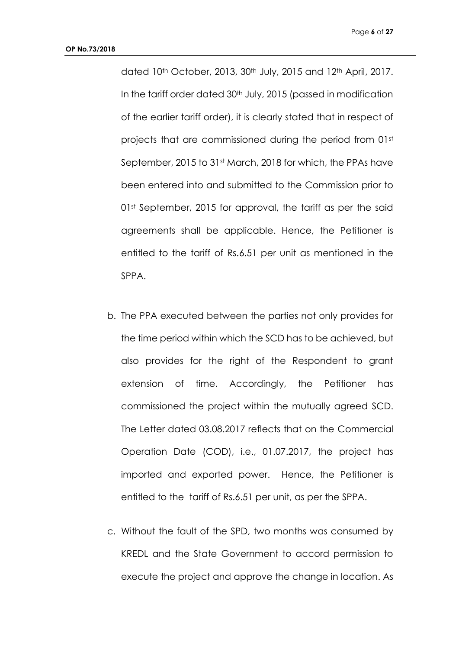dated 10<sup>th</sup> October, 2013, 30<sup>th</sup> July, 2015 and 12<sup>th</sup> April, 2017. In the tariff order dated 30<sup>th</sup> July, 2015 (passed in modification of the earlier tariff order), it is clearly stated that in respect of projects that are commissioned during the period from 01st September, 2015 to 31<sup>st</sup> March, 2018 for which, the PPAs have been entered into and submitted to the Commission prior to 01st September, 2015 for approval, the tariff as per the said agreements shall be applicable. Hence, the Petitioner is entitled to the tariff of Rs.6.51 per unit as mentioned in the SPPA.

- b. The PPA executed between the parties not only provides for the time period within which the SCD has to be achieved, but also provides for the right of the Respondent to grant extension of time. Accordingly, the Petitioner has commissioned the project within the mutually agreed SCD. The Letter dated 03.08.2017 reflects that on the Commercial Operation Date (COD), i.e., 01.07.2017, the project has imported and exported power. Hence, the Petitioner is entitled to the tariff of Rs.6.51 per unit, as per the SPPA.
- c. Without the fault of the SPD, two months was consumed by KREDL and the State Government to accord permission to execute the project and approve the change in location. As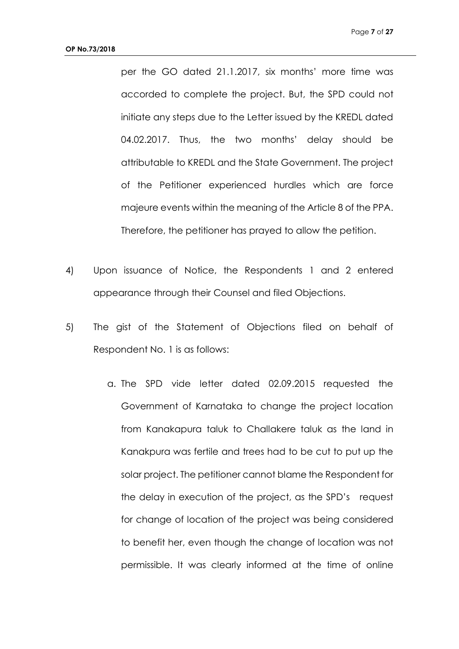per the GO dated 21.1.2017, six months' more time was accorded to complete the project. But, the SPD could not initiate any steps due to the Letter issued by the KREDL dated 04.02.2017. Thus, the two months' delay should be attributable to KREDL and the State Government. The project of the Petitioner experienced hurdles which are force majeure events within the meaning of the Article 8 of the PPA. Therefore, the petitioner has prayed to allow the petition.

- 4) Upon issuance of Notice, the Respondents 1 and 2 entered appearance through their Counsel and filed Objections.
- 5) The gist of the Statement of Objections filed on behalf of Respondent No. 1 is as follows:
	- a. The SPD vide letter dated 02.09.2015 requested the Government of Karnataka to change the project location from Kanakapura taluk to Challakere taluk as the land in Kanakpura was fertile and trees had to be cut to put up the solar project. The petitioner cannot blame the Respondent for the delay in execution of the project, as the SPD's request for change of location of the project was being considered to benefit her, even though the change of location was not permissible. It was clearly informed at the time of online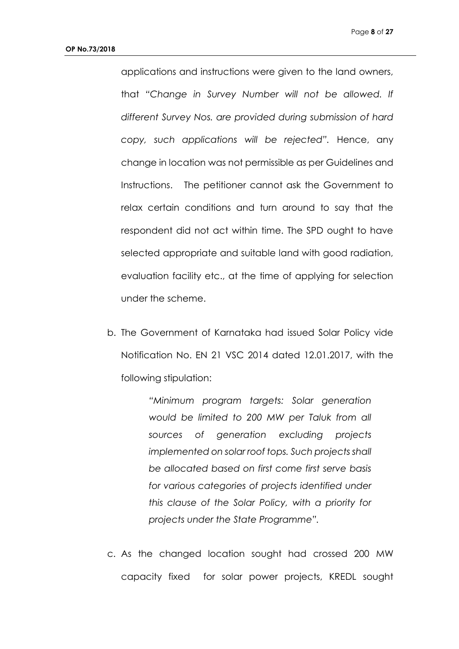applications and instructions were given to the land owners, that *"Change in Survey Number will not be allowed. If different Survey Nos. are provided during submission of hard copy, such applications will be rejected".* Hence, any change in location was not permissible as per Guidelines and Instructions. The petitioner cannot ask the Government to relax certain conditions and turn around to say that the respondent did not act within time. The SPD ought to have selected appropriate and suitable land with good radiation, evaluation facility etc., at the time of applying for selection under the scheme.

b. The Government of Karnataka had issued Solar Policy vide Notification No. EN 21 VSC 2014 dated 12.01.2017, with the following stipulation:

> *"Minimum program targets: Solar generation would be limited to 200 MW per Taluk from all sources of generation excluding projects implemented on solar roof tops. Such projects shall be allocated based on first come first serve basis for various categories of projects identified under this clause of the Solar Policy, with a priority for projects under the State Programme".*

c. As the changed location sought had crossed 200 MW capacity fixed for solar power projects, KREDL sought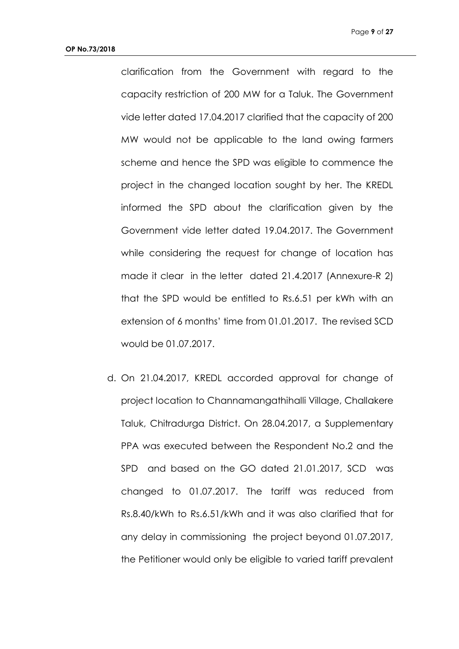clarification from the Government with regard to the capacity restriction of 200 MW for a Taluk. The Government vide letter dated 17.04.2017 clarified that the capacity of 200 MW would not be applicable to the land owing farmers scheme and hence the SPD was eligible to commence the project in the changed location sought by her. The KREDL informed the SPD about the clarification given by the Government vide letter dated 19.04.2017. The Government while considering the request for change of location has made it clear in the letter dated 21.4.2017 (Annexure-R 2) that the SPD would be entitled to Rs.6.51 per kWh with an extension of 6 months' time from 01.01.2017. The revised SCD would be 01.07.2017.

d. On 21.04.2017, KREDL accorded approval for change of project location to Channamangathihalli Village, Challakere Taluk, Chitradurga District. On 28.04.2017, a Supplementary PPA was executed between the Respondent No.2 and the SPD and based on the GO dated 21.01.2017, SCD was changed to 01.07.2017. The tariff was reduced from Rs.8.40/kWh to Rs.6.51/kWh and it was also clarified that for any delay in commissioning the project beyond 01.07.2017, the Petitioner would only be eligible to varied tariff prevalent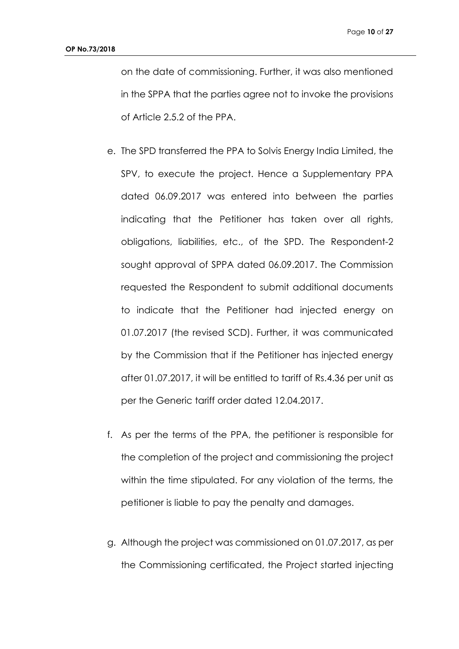on the date of commissioning. Further, it was also mentioned in the SPPA that the parties agree not to invoke the provisions of Article 2.5.2 of the PPA.

- e. The SPD transferred the PPA to Solvis Energy India Limited, the SPV, to execute the project. Hence a Supplementary PPA dated 06.09.2017 was entered into between the parties indicating that the Petitioner has taken over all rights, obligations, liabilities, etc., of the SPD. The Respondent-2 sought approval of SPPA dated 06.09.2017. The Commission requested the Respondent to submit additional documents to indicate that the Petitioner had injected energy on 01.07.2017 (the revised SCD). Further, it was communicated by the Commission that if the Petitioner has injected energy after 01.07.2017, it will be entitled to tariff of Rs.4.36 per unit as per the Generic tariff order dated 12.04.2017.
- f. As per the terms of the PPA, the petitioner is responsible for the completion of the project and commissioning the project within the time stipulated. For any violation of the terms, the petitioner is liable to pay the penalty and damages.
- g. Although the project was commissioned on 01.07.2017, as per the Commissioning certificated, the Project started injecting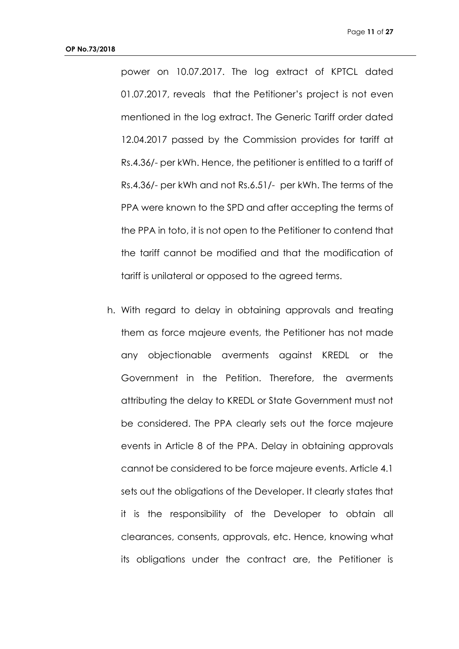power on 10.07.2017. The log extract of KPTCL dated 01.07.2017, reveals that the Petitioner's project is not even mentioned in the log extract. The Generic Tariff order dated 12.04.2017 passed by the Commission provides for tariff at Rs.4.36/- per kWh. Hence, the petitioner is entitled to a tariff of Rs.4.36/- per kWh and not Rs.6.51/- per kWh. The terms of the PPA were known to the SPD and after accepting the terms of the PPA in toto, it is not open to the Petitioner to contend that the tariff cannot be modified and that the modification of tariff is unilateral or opposed to the agreed terms.

h. With regard to delay in obtaining approvals and treating them as force majeure events, the Petitioner has not made any objectionable averments against KREDL or the Government in the Petition. Therefore, the averments attributing the delay to KREDL or State Government must not be considered. The PPA clearly sets out the force majeure events in Article 8 of the PPA. Delay in obtaining approvals cannot be considered to be force majeure events. Article 4.1 sets out the obligations of the Developer. It clearly states that it is the responsibility of the Developer to obtain all clearances, consents, approvals, etc. Hence, knowing what its obligations under the contract are, the Petitioner is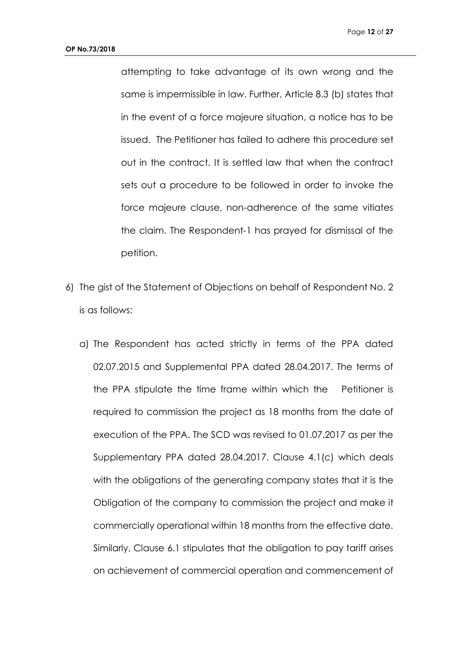attempting to take advantage of its own wrong and the same is impermissible in law. Further, Article 8.3 (b) states that in the event of a force majeure situation, a notice has to be issued. The Petitioner has failed to adhere this procedure set out in the contract. It is settled law that when the contract sets out a procedure to be followed in order to invoke the force majeure clause, non-adherence of the same vitiates the claim. The Respondent-1 has prayed for dismissal of the petition.

- 6) The gist of the Statement of Objections on behalf of Respondent No. 2 is as follows:
	- a) The Respondent has acted strictly in terms of the PPA dated 02.07.2015 and Supplemental PPA dated 28.04.2017. The terms of the PPA stipulate the time frame within which the Petitioner is required to commission the project as 18 months from the date of execution of the PPA. The SCD was revised to 01.07.2017 as per the Supplementary PPA dated 28.04.2017. Clause 4.1(c) which deals with the obligations of the generating company states that it is the Obligation of the company to commission the project and make it commercially operational within 18 months from the effective date. Similarly, Clause 6.1 stipulates that the obligation to pay tariff arises on achievement of commercial operation and commencement of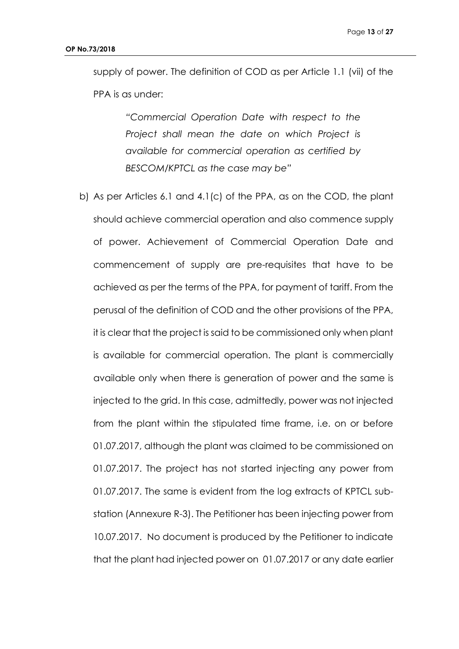supply of power. The definition of COD as per Article 1.1 (vii) of the PPA is as under:

> *"Commercial Operation Date with respect to the Project shall mean the date on which Project is available for commercial operation as certified by BESCOM/KPTCL as the case may be"*

b) As per Articles 6.1 and 4.1(c) of the PPA, as on the COD, the plant should achieve commercial operation and also commence supply of power. Achievement of Commercial Operation Date and commencement of supply are pre-requisites that have to be achieved as per the terms of the PPA, for payment of tariff. From the perusal of the definition of COD and the other provisions of the PPA, it is clear that the project is said to be commissioned only when plant is available for commercial operation. The plant is commercially available only when there is generation of power and the same is injected to the grid. In this case, admittedly, power was not injected from the plant within the stipulated time frame, i.e. on or before 01.07.2017, although the plant was claimed to be commissioned on 01.07.2017. The project has not started injecting any power from 01.07.2017. The same is evident from the log extracts of KPTCL substation (Annexure R-3). The Petitioner has been injecting power from 10.07.2017. No document is produced by the Petitioner to indicate that the plant had injected power on 01.07.2017 or any date earlier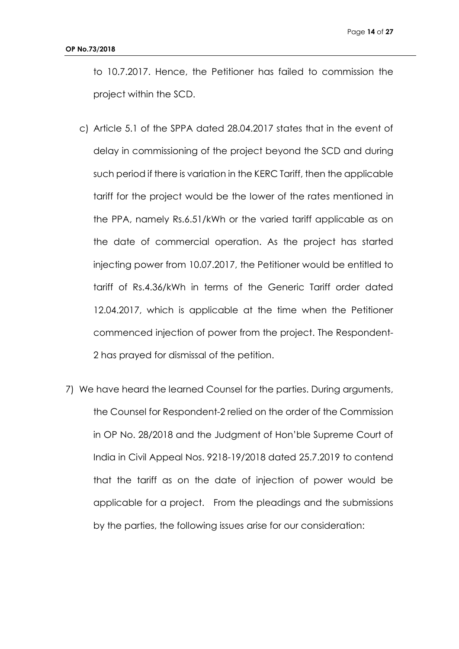to 10.7.2017. Hence, the Petitioner has failed to commission the project within the SCD.

- c) Article 5.1 of the SPPA dated 28.04.2017 states that in the event of delay in commissioning of the project beyond the SCD and during such period if there is variation in the KERC Tariff, then the applicable tariff for the project would be the lower of the rates mentioned in the PPA, namely Rs.6.51/kWh or the varied tariff applicable as on the date of commercial operation. As the project has started injecting power from 10.07.2017, the Petitioner would be entitled to tariff of Rs.4.36/kWh in terms of the Generic Tariff order dated 12.04.2017, which is applicable at the time when the Petitioner commenced injection of power from the project. The Respondent-2 has prayed for dismissal of the petition.
- 7) We have heard the learned Counsel for the parties. During arguments, the Counsel for Respondent-2 relied on the order of the Commission in OP No. 28/2018 and the Judgment of Hon'ble Supreme Court of India in Civil Appeal Nos. 9218-19/2018 dated 25.7.2019 to contend that the tariff as on the date of injection of power would be applicable for a project. From the pleadings and the submissions by the parties, the following issues arise for our consideration: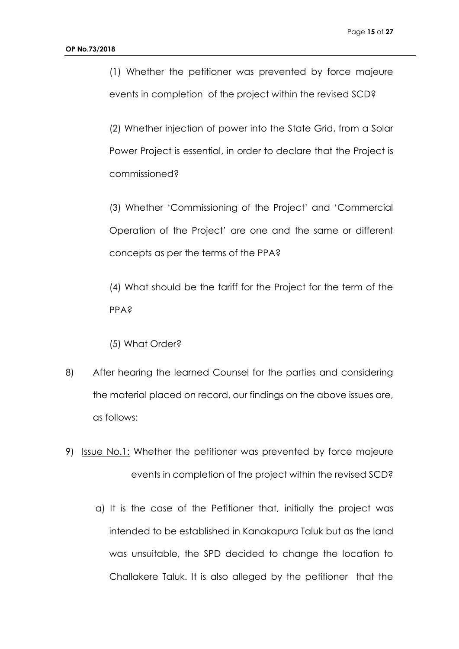(1) Whether the petitioner was prevented by force majeure events in completion of the project within the revised SCD?

(2) Whether injection of power into the State Grid, from a Solar Power Project is essential, in order to declare that the Project is commissioned?

(3) Whether 'Commissioning of the Project' and 'Commercial Operation of the Project' are one and the same or different concepts as per the terms of the PPA?

(4) What should be the tariff for the Project for the term of the PPA?

(5) What Order?

- 8) After hearing the learned Counsel for the parties and considering the material placed on record, our findings on the above issues are, as follows:
- 9) Issue No.1: Whether the petitioner was prevented by force majeure events in completion of the project within the revised SCD?
	- a) It is the case of the Petitioner that, initially the project was intended to be established in Kanakapura Taluk but as the land was unsuitable, the SPD decided to change the location to Challakere Taluk. It is also alleged by the petitioner that the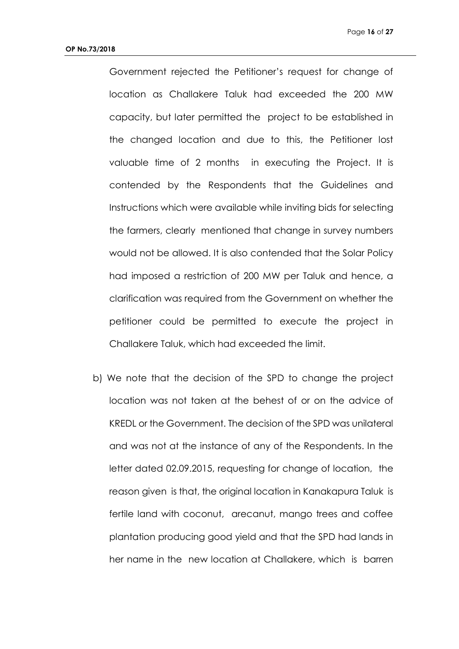Government rejected the Petitioner's request for change of location as Challakere Taluk had exceeded the 200 MW capacity, but later permitted the project to be established in the changed location and due to this, the Petitioner lost valuable time of 2 months in executing the Project. It is contended by the Respondents that the Guidelines and Instructions which were available while inviting bids for selecting the farmers, clearly mentioned that change in survey numbers would not be allowed. It is also contended that the Solar Policy had imposed a restriction of 200 MW per Taluk and hence, a clarification was required from the Government on whether the petitioner could be permitted to execute the project in Challakere Taluk, which had exceeded the limit.

b) We note that the decision of the SPD to change the project location was not taken at the behest of or on the advice of KREDL or the Government. The decision of the SPD was unilateral and was not at the instance of any of the Respondents. In the letter dated 02.09.2015, requesting for change of location, the reason given is that, the original location in Kanakapura Taluk is fertile land with coconut, arecanut, mango trees and coffee plantation producing good yield and that the SPD had lands in her name in the new location at Challakere, which is barren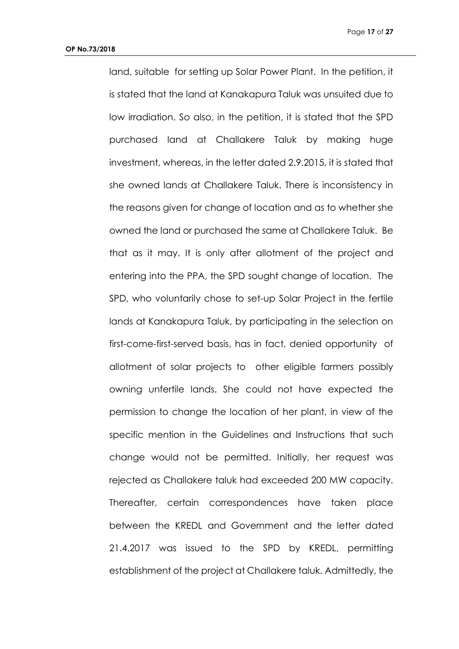land, suitable for setting up Solar Power Plant. In the petition, it is stated that the land at Kanakapura Taluk was unsuited due to low irradiation. So also, in the petition, it is stated that the SPD purchased land at Challakere Taluk by making huge investment, whereas, in the letter dated 2.9.2015, it is stated that she owned lands at Challakere Taluk. There is inconsistency in the reasons given for change of location and as to whether she owned the land or purchased the same at Challakere Taluk. Be that as it may. It is only after allotment of the project and entering into the PPA, the SPD sought change of location. The SPD, who voluntarily chose to set-up Solar Project in the fertile lands at Kanakapura Taluk, by participating in the selection on first-come-first-served basis, has in fact, denied opportunity of allotment of solar projects to other eligible farmers possibly owning unfertile lands. She could not have expected the permission to change the location of her plant, in view of the specific mention in the Guidelines and Instructions that such change would not be permitted. Initially, her request was rejected as Challakere taluk had exceeded 200 MW capacity. Thereafter, certain correspondences have taken place between the KREDL and Government and the letter dated 21.4.2017 was issued to the SPD by KREDL, permitting establishment of the project at Challakere taluk. Admittedly, the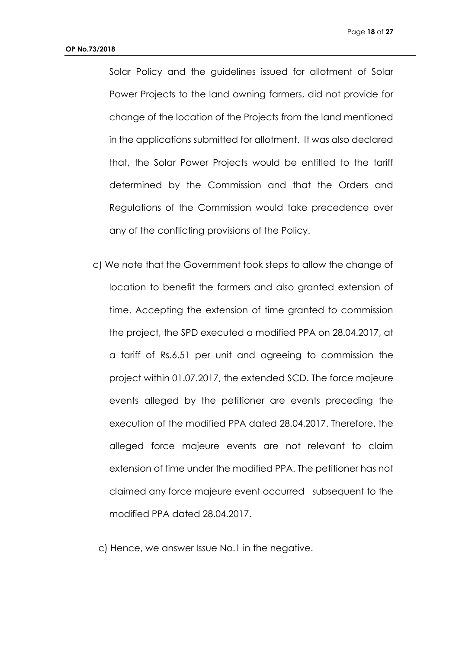Solar Policy and the guidelines issued for allotment of Solar Power Projects to the land owning farmers, did not provide for change of the location of the Projects from the land mentioned in the applications submitted for allotment. It was also declared that, the Solar Power Projects would be entitled to the tariff determined by the Commission and that the Orders and Regulations of the Commission would take precedence over any of the conflicting provisions of the Policy.

c) We note that the Government took steps to allow the change of location to benefit the farmers and also granted extension of time. Accepting the extension of time granted to commission the project, the SPD executed a modified PPA on 28.04.2017, at a tariff of Rs.6.51 per unit and agreeing to commission the project within 01.07.2017, the extended SCD. The force majeure events alleged by the petitioner are events preceding the execution of the modified PPA dated 28.04.2017. Therefore, the alleged force majeure events are not relevant to claim extension of time under the modified PPA. The petitioner has not claimed any force majeure event occurred subsequent to the modified PPA dated 28.04.2017.

c) Hence, we answer Issue No.1 in the negative.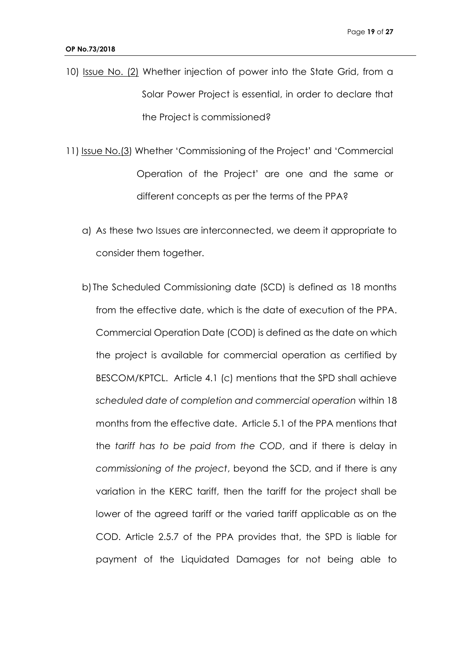- 10) Issue No. (2) Whether injection of power into the State Grid, from a Solar Power Project is essential, in order to declare that the Project is commissioned?
- 11) Issue No.(3) Whether 'Commissioning of the Project' and 'Commercial Operation of the Project' are one and the same or different concepts as per the terms of the PPA?
	- a) As these two Issues are interconnected, we deem it appropriate to consider them together.
	- b) The Scheduled Commissioning date (SCD) is defined as 18 months from the effective date, which is the date of execution of the PPA. Commercial Operation Date (COD) is defined as the date on which the project is available for commercial operation as certified by BESCOM/KPTCL. Article 4.1 (c) mentions that the SPD shall achieve *scheduled date of completion and commercial operation* within 18 months from the effective date. Article 5.1 of the PPA mentions that the *tariff has to be paid from the COD*, and if there is delay in *commissioning of the project*, beyond the SCD, and if there is any variation in the KERC tariff, then the tariff for the project shall be lower of the agreed tariff or the varied tariff applicable as on the COD. Article 2.5.7 of the PPA provides that, the SPD is liable for payment of the Liquidated Damages for not being able to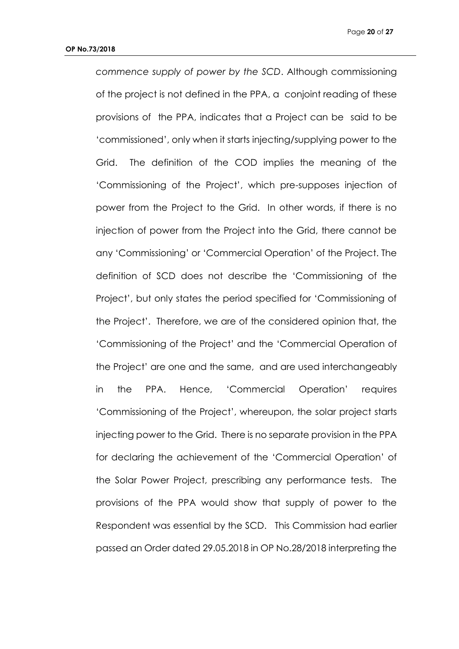*commence supply of power by the SCD*. Although commissioning of the project is not defined in the PPA, a conjoint reading of these provisions of the PPA, indicates that a Project can be said to be 'commissioned', only when it starts injecting/supplying power to the Grid. The definition of the COD implies the meaning of the 'Commissioning of the Project', which pre-supposes injection of power from the Project to the Grid. In other words, if there is no injection of power from the Project into the Grid, there cannot be any 'Commissioning' or 'Commercial Operation' of the Project. The definition of SCD does not describe the 'Commissioning of the Project', but only states the period specified for 'Commissioning of the Project'. Therefore, we are of the considered opinion that, the 'Commissioning of the Project' and the 'Commercial Operation of the Project' are one and the same, and are used interchangeably in the PPA. Hence, 'Commercial Operation' requires 'Commissioning of the Project', whereupon, the solar project starts injecting power to the Grid. There is no separate provision in the PPA for declaring the achievement of the 'Commercial Operation' of the Solar Power Project, prescribing any performance tests. The provisions of the PPA would show that supply of power to the Respondent was essential by the SCD. This Commission had earlier passed an Order dated 29.05.2018 in OP No.28/2018 interpreting the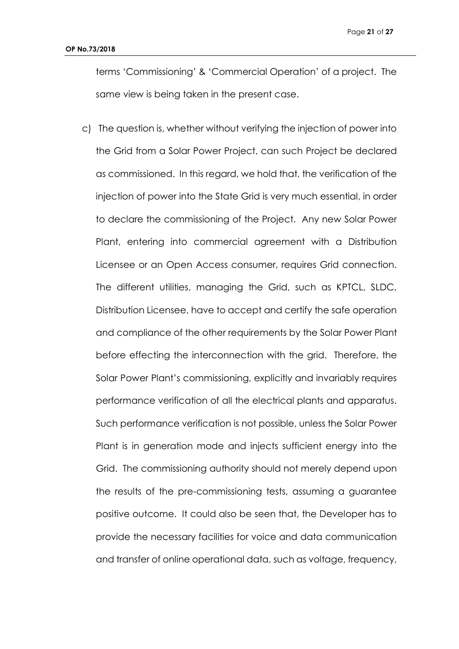terms 'Commissioning' & 'Commercial Operation' of a project. The same view is being taken in the present case.

c) The question is, whether without verifying the injection of power into the Grid from a Solar Power Project, can such Project be declared as commissioned. In this regard, we hold that, the verification of the injection of power into the State Grid is very much essential, in order to declare the commissioning of the Project. Any new Solar Power Plant, entering into commercial agreement with a Distribution Licensee or an Open Access consumer, requires Grid connection. The different utilities, managing the Grid, such as KPTCL, SLDC, Distribution Licensee, have to accept and certify the safe operation and compliance of the other requirements by the Solar Power Plant before effecting the interconnection with the grid. Therefore, the Solar Power Plant's commissioning, explicitly and invariably requires performance verification of all the electrical plants and apparatus. Such performance verification is not possible, unless the Solar Power Plant is in generation mode and injects sufficient energy into the Grid. The commissioning authority should not merely depend upon the results of the pre-commissioning tests, assuming a guarantee positive outcome. It could also be seen that, the Developer has to provide the necessary facilities for voice and data communication and transfer of online operational data, such as voltage, frequency,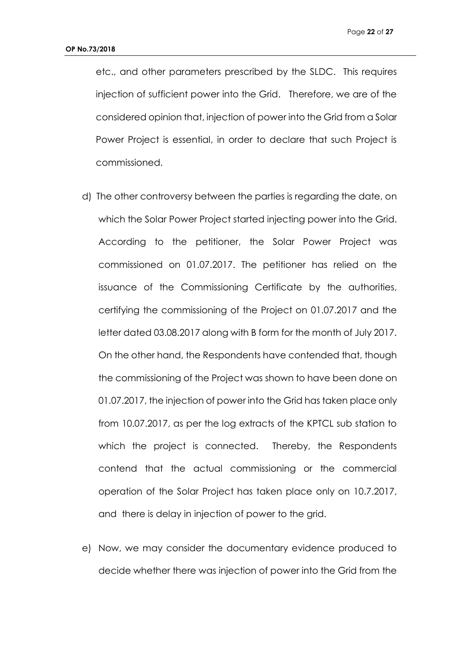etc., and other parameters prescribed by the SLDC. This requires injection of sufficient power into the Grid. Therefore, we are of the considered opinion that, injection of power into the Grid from a Solar Power Project is essential, in order to declare that such Project is commissioned.

- d) The other controversy between the parties is regarding the date, on which the Solar Power Project started injecting power into the Grid. According to the petitioner, the Solar Power Project was commissioned on 01.07.2017. The petitioner has relied on the issuance of the Commissioning Certificate by the authorities, certifying the commissioning of the Project on 01.07.2017 and the letter dated 03.08.2017 along with B form for the month of July 2017. On the other hand, the Respondents have contended that, though the commissioning of the Project was shown to have been done on 01.07.2017, the injection of power into the Grid has taken place only from 10.07.2017, as per the log extracts of the KPTCL sub station to which the project is connected. Thereby, the Respondents contend that the actual commissioning or the commercial operation of the Solar Project has taken place only on 10.7.2017, and there is delay in injection of power to the grid.
- e) Now, we may consider the documentary evidence produced to decide whether there was injection of power into the Grid from the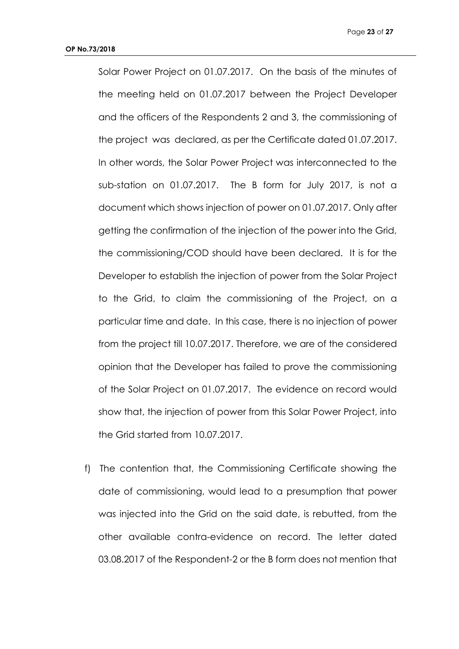Solar Power Project on 01.07.2017. On the basis of the minutes of the meeting held on 01.07.2017 between the Project Developer and the officers of the Respondents 2 and 3, the commissioning of the project was declared, as per the Certificate dated 01.07.2017. In other words, the Solar Power Project was interconnected to the sub-station on 01.07.2017. The B form for July 2017, is not a document which shows injection of power on 01.07.2017. Only after getting the confirmation of the injection of the power into the Grid, the commissioning/COD should have been declared. It is for the Developer to establish the injection of power from the Solar Project to the Grid, to claim the commissioning of the Project, on a particular time and date. In this case, there is no injection of power from the project till 10.07.2017. Therefore, we are of the considered opinion that the Developer has failed to prove the commissioning of the Solar Project on 01.07.2017. The evidence on record would show that, the injection of power from this Solar Power Project, into the Grid started from 10.07.2017.

f) The contention that, the Commissioning Certificate showing the date of commissioning, would lead to a presumption that power was injected into the Grid on the said date, is rebutted, from the other available contra-evidence on record. The letter dated 03.08.2017 of the Respondent-2 or the B form does not mention that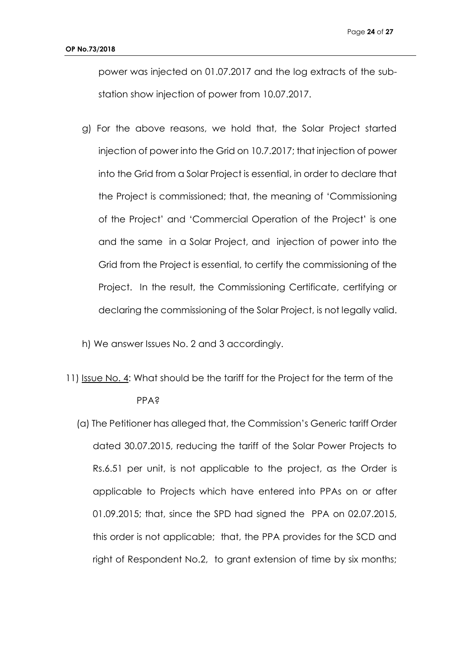power was injected on 01.07.2017 and the log extracts of the substation show injection of power from 10.07.2017.

- g) For the above reasons, we hold that, the Solar Project started injection of power into the Grid on 10.7.2017; that injection of power into the Grid from a Solar Project is essential, in order to declare that the Project is commissioned; that, the meaning of 'Commissioning of the Project' and 'Commercial Operation of the Project' is one and the same in a Solar Project, and injection of power into the Grid from the Project is essential, to certify the commissioning of the Project. In the result, the Commissioning Certificate, certifying or declaring the commissioning of the Solar Project, is not legally valid.
- h) We answer Issues No. 2 and 3 accordingly.
- 11) Issue No. 4: What should be the tariff for the Project for the term of the PPA?
	- (a) The Petitioner has alleged that, the Commission's Generic tariff Order dated 30.07.2015, reducing the tariff of the Solar Power Projects to Rs.6.51 per unit, is not applicable to the project, as the Order is applicable to Projects which have entered into PPAs on or after 01.09.2015; that, since the SPD had signed the PPA on 02.07.2015, this order is not applicable; that, the PPA provides for the SCD and right of Respondent No.2, to grant extension of time by six months;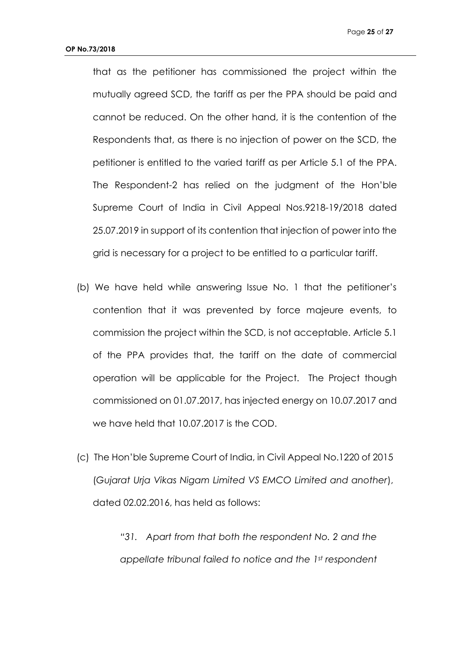that as the petitioner has commissioned the project within the mutually agreed SCD, the tariff as per the PPA should be paid and cannot be reduced. On the other hand, it is the contention of the Respondents that, as there is no injection of power on the SCD, the petitioner is entitled to the varied tariff as per Article 5.1 of the PPA. The Respondent-2 has relied on the judgment of the Hon'ble Supreme Court of India in Civil Appeal Nos.9218-19/2018 dated 25.07.2019 in support of its contention that injection of power into the grid is necessary for a project to be entitled to a particular tariff.

- (b) We have held while answering Issue No. 1 that the petitioner's contention that it was prevented by force majeure events, to commission the project within the SCD, is not acceptable. Article 5.1 of the PPA provides that, the tariff on the date of commercial operation will be applicable for the Project. The Project though commissioned on 01.07.2017, has injected energy on 10.07.2017 and we have held that 10.07.2017 is the COD.
- (c) The Hon'ble Supreme Court of India, in Civil Appeal No.1220 of 2015 (*Gujarat Urja Vikas Nigam Limited VS EMCO Limited and another*), dated 02.02.2016, has held as follows:

*"31. Apart from that both the respondent No. 2 and the appellate tribunal failed to notice and the 1st respondent*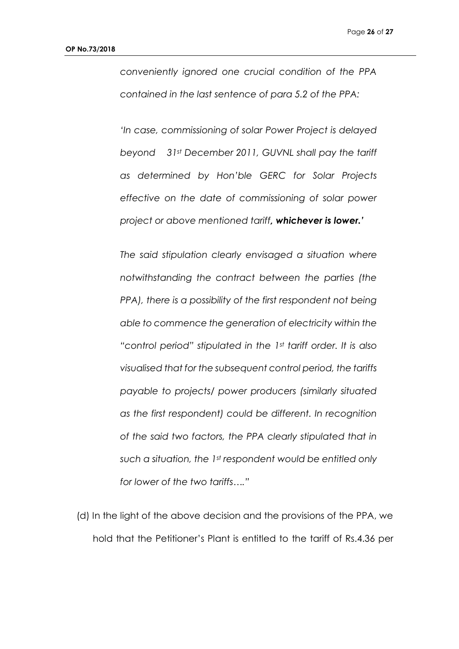*conveniently ignored one crucial condition of the PPA contained in the last sentence of para 5.2 of the PPA:* 

*'In case, commissioning of solar Power Project is delayed beyond 31st December 2011, GUVNL shall pay the tariff as determined by Hon'ble GERC for Solar Projects effective on the date of commissioning of solar power project or above mentioned tariff, whichever is lower.'*

*The said stipulation clearly envisaged a situation where notwithstanding the contract between the parties (the PPA), there is a possibility of the first respondent not being able to commence the generation of electricity within the "control period" stipulated in the 1st tariff order. It is also visualised that for the subsequent control period, the tariffs payable to projects/ power producers (similarly situated as the first respondent) could be different. In recognition of the said two factors, the PPA clearly stipulated that in such a situation, the 1st respondent would be entitled only for lower of the two tariffs…."*

(d) In the light of the above decision and the provisions of the PPA, we hold that the Petitioner's Plant is entitled to the tariff of Rs.4.36 per